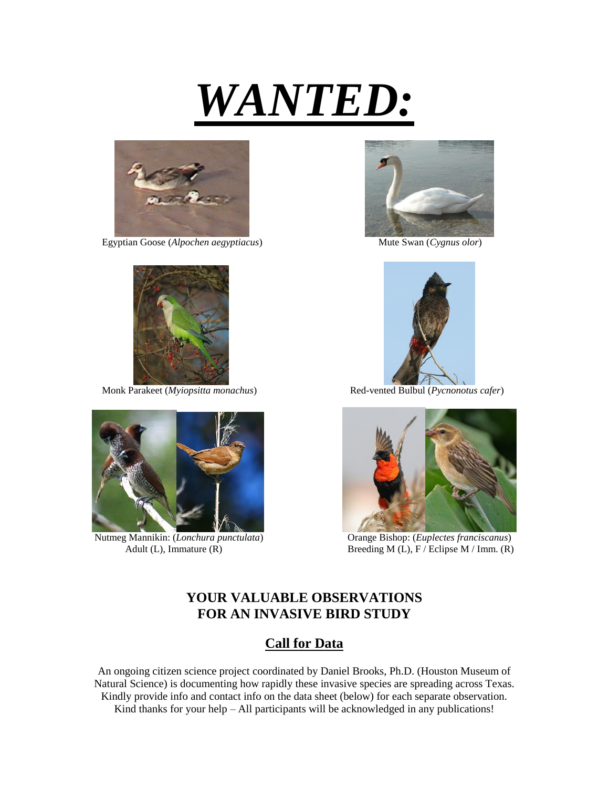



Egyptian Goose (*Alpochen aegyptiacus*) Mute Swan (*Cygnus olor*)





Nutmeg Mannikin: (*Lonchura punctulata*) Orange Bishop: (*Euplectes franciscanus*)





Monk Parakeet (*Myiopsitta monachus*) Red-vented Bulbul (*Pycnonotus cafer*)



Adult (L), Immature (R) Breeding M (L), F / Eclipse M / Imm. (R)

## **YOUR VALUABLE OBSERVATIONS FOR AN INVASIVE BIRD STUDY**

## **Call for Data**

An ongoing citizen science project coordinated by Daniel Brooks, Ph.D. (Houston Museum of Natural Science) is documenting how rapidly these invasive species are spreading across Texas. Kindly provide info and contact info on the data sheet (below) for each separate observation. Kind thanks for your help  $-$  All participants will be acknowledged in any publications!